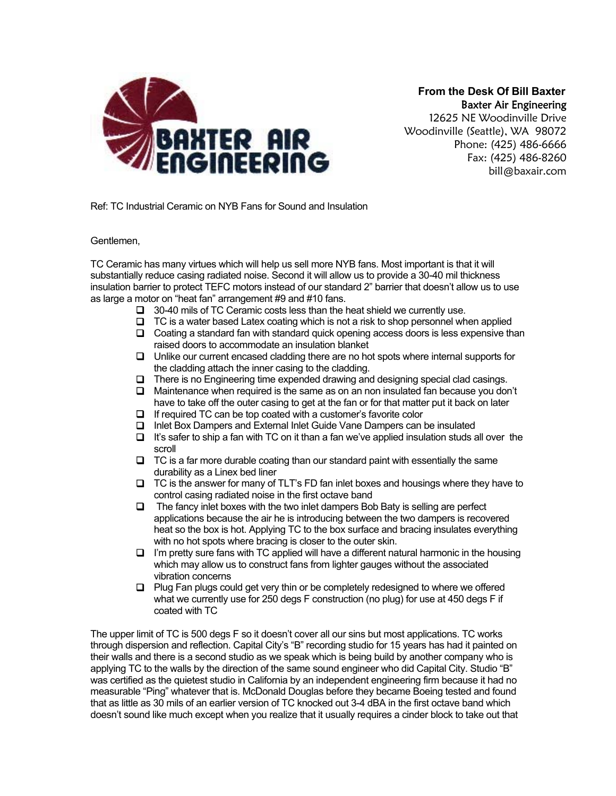

 **From the Desk Of Bill Baxter**  Baxter Air Engineering

12625 NE Woodinville Drive Woodinville (Seattle), WA 98072 Phone: (425) 486-6666 Fax: (425) 486-8260 bill@baxair.com

Ref: TC Industrial Ceramic on NYB Fans for Sound and Insulation

Gentlemen,

TC Ceramic has many virtues which will help us sell more NYB fans. Most important is that it will substantially reduce casing radiated noise. Second it will allow us to provide a 30-40 mil thickness insulation barrier to protect TEFC motors instead of our standard 2" barrier that doesn't allow us to use as large a motor on "heat fan" arrangement #9 and #10 fans.

- $\Box$  30-40 mils of TC Ceramic costs less than the heat shield we currently use.
- $\Box$  TC is a water based Latex coating which is not a risk to shop personnel when applied
- $\Box$  Coating a standard fan with standard quick opening access doors is less expensive than raised doors to accommodate an insulation blanket
- Unlike our current encased cladding there are no hot spots where internal supports for the cladding attach the inner casing to the cladding.
- $\Box$  There is no Engineering time expended drawing and designing special clad casings.
- $\Box$  Maintenance when required is the same as on an non insulated fan because you don't have to take off the outer casing to get at the fan or for that matter put it back on later
- If required TC can be top coated with a customer's favorite color
- □ Inlet Box Dampers and External Inlet Guide Vane Dampers can be insulated
- $\Box$  It's safer to ship a fan with TC on it than a fan we've applied insulation studs all over the scroll
- $\Box$  TC is a far more durable coating than our standard paint with essentially the same durability as a Linex bed liner
- $\Box$  TC is the answer for many of TLT's FD fan inlet boxes and housings where they have to control casing radiated noise in the first octave band
- $\Box$  The fancy inlet boxes with the two inlet dampers Bob Baty is selling are perfect applications because the air he is introducing between the two dampers is recovered heat so the box is hot. Applying TC to the box surface and bracing insulates everything with no hot spots where bracing is closer to the outer skin.
- $\Box$  I'm pretty sure fans with TC applied will have a different natural harmonic in the housing which may allow us to construct fans from lighter gauges without the associated vibration concerns
- $\Box$  Plug Fan plugs could get very thin or be completely redesigned to where we offered what we currently use for 250 degs F construction (no plug) for use at 450 degs F if coated with TC

The upper limit of TC is 500 degs F so it doesn't cover all our sins but most applications. TC works through dispersion and reflection. Capital City's "B" recording studio for 15 years has had it painted on their walls and there is a second studio as we speak which is being build by another company who is applying TC to the walls by the direction of the same sound engineer who did Capital City. Studio "B" was certified as the quietest studio in California by an independent engineering firm because it had no measurable "Ping" whatever that is. McDonald Douglas before they became Boeing tested and found that as little as 30 mils of an earlier version of TC knocked out 3-4 dBA in the first octave band which doesn't sound like much except when you realize that it usually requires a cinder block to take out that